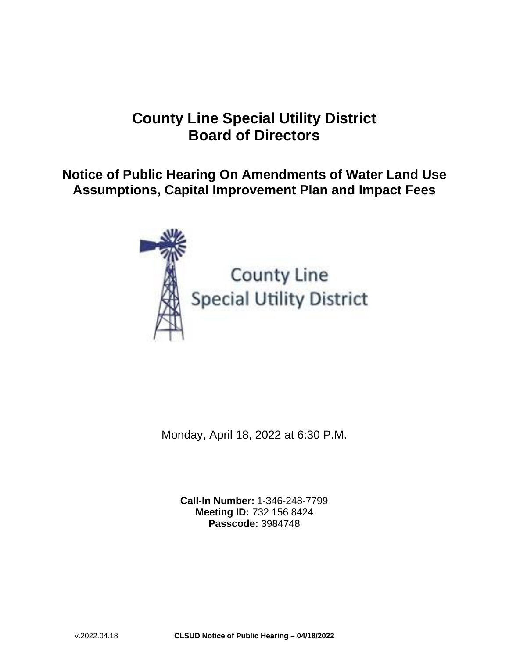# **County Line Special Utility District Board of Directors**

**Notice of Public Hearing On Amendments of Water Land Use Assumptions, Capital Improvement Plan and Impact Fees**



# County Line **Special Utility District**

Monday, April 18, 2022 at 6:30 P.M.

**Call-In Number:** 1-346-248-7799 **Meeting ID:** 732 156 8424 **Passcode:** 3984748